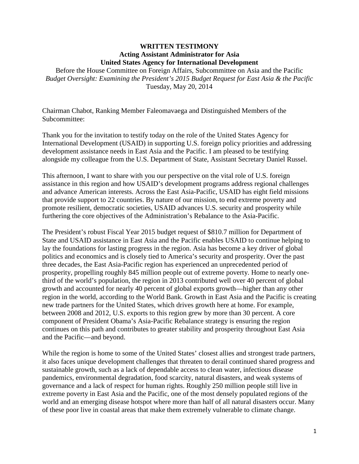#### **WRITTEN TESTIMONY Acting Assistant Administrator for Asia United States Agency for International Development**

Before the House Committee on Foreign Affairs, Subcommittee on Asia and the Pacific *Budget Oversight: Examining the President's 2015 Budget Request for East Asia & the Pacific* Tuesday, May 20, 2014

Chairman Chabot, Ranking Member Faleomavaega and Distinguished Members of the Subcommittee:

Thank you for the invitation to testify today on the role of the United States Agency for International Development (USAID) in supporting U.S. foreign policy priorities and addressing development assistance needs in East Asia and the Pacific. I am pleased to be testifying alongside my colleague from the U.S. Department of State, Assistant Secretary Daniel Russel.

This afternoon, I want to share with you our perspective on the vital role of U.S. foreign assistance in this region and how USAID's development programs address regional challenges and advance American interests. Across the East Asia-Pacific, USAID has eight field missions that provide support to 22 countries. By nature of our mission, to end extreme poverty and promote resilient, democratic societies, USAID advances U.S. security and prosperity while furthering the core objectives of the Administration's Rebalance to the Asia-Pacific.

The President's robust Fiscal Year 2015 budget request of \$810.7 million for Department of State and USAID assistance in East Asia and the Pacific enables USAID to continue helping to lay the foundations for lasting progress in the region. Asia has become a key driver of global politics and economics and is closely tied to America's security and prosperity. Over the past three decades, the East Asia-Pacific region has experienced an unprecedented period of prosperity, propelling roughly 845 million people out of extreme poverty. Home to nearly onethird of the world's population, the region in 2013 contributed well over 40 percent of global growth and accounted for nearly 40 percent of global exports growth—higher than any other region in the world, according to the World Bank. Growth in East Asia and the Pacific is creating new trade partners for the United States, which drives growth here at home. For example, between 2008 and 2012, U.S. exports to this region grew by more than 30 percent. A core component of President Obama's Asia-Pacific Rebalance strategy is ensuring the region continues on this path and contributes to greater stability and prosperity throughout East Asia and the Pacific—and beyond.

While the region is home to some of the United States' closest allies and strongest trade partners, it also faces unique development challenges that threaten to derail continued shared progress and sustainable growth, such as a lack of dependable access to clean water, infectious disease pandemics, environmental degradation, food scarcity, natural disasters, and weak systems of governance and a lack of respect for human rights. Roughly 250 million people still live in extreme poverty in East Asia and the Pacific, one of the most densely populated regions of the world and an emerging disease hotspot where more than half of all natural disasters occur. Many of these poor live in coastal areas that make them extremely vulnerable to climate change.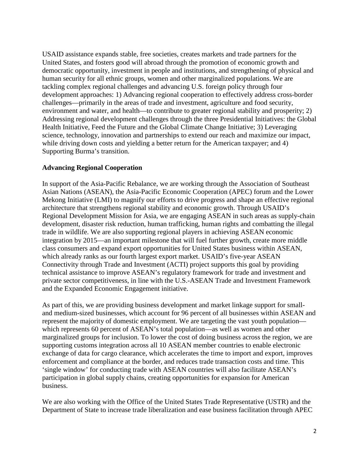USAID assistance expands stable, free societies, creates markets and trade partners for the United States, and fosters good will abroad through the promotion of economic growth and democratic opportunity, investment in people and institutions, and strengthening of physical and human security for all ethnic groups, women and other marginalized populations. We are tackling complex regional challenges and advancing U.S. foreign policy through four development approaches: 1) Advancing regional cooperation to effectively address cross-border challenges—primarily in the areas of trade and investment, agriculture and food security, environment and water, and health—to contribute to greater regional stability and prosperity; 2) Addressing regional development challenges through the three Presidential Initiatives: the Global Health Initiative, Feed the Future and the Global Climate Change Initiative; 3) Leveraging science, technology, innovation and partnerships to extend our reach and maximize our impact, while driving down costs and yielding a better return for the American taxpayer; and 4) Supporting Burma's transition.

### **Advancing Regional Cooperation**

In support of the Asia-Pacific Rebalance, we are working through the Association of Southeast Asian Nations (ASEAN), the Asia-Pacific Economic Cooperation (APEC) forum and the Lower Mekong Initiative (LMI) to magnify our efforts to drive progress and shape an effective regional architecture that strengthens regional stability and economic growth. Through USAID's Regional Development Mission for Asia, we are engaging ASEAN in such areas as supply-chain development, disaster risk reduction, human trafficking, human rights and combatting the illegal trade in wildlife. We are also supporting regional players in achieving ASEAN economic integration by 2015—an important milestone that will fuel further growth, create more middle class consumers and expand export opportunities for United States business within ASEAN, which already ranks as our fourth largest export market. USAID's five-year ASEAN Connectivity through Trade and Investment (ACTI) project supports this goal by providing technical assistance to improve ASEAN's regulatory framework for trade and investment and private sector competitiveness, in line with the U.S.-ASEAN Trade and Investment Framework and the Expanded Economic Engagement initiative.

As part of this, we are providing business development and market linkage support for smalland medium-sized businesses, which account for 96 percent of all businesses within ASEAN and represent the majority of domestic employment. We are targeting the vast youth population which represents 60 percent of ASEAN's total population—as well as women and other marginalized groups for inclusion. To lower the cost of doing business across the region, we are supporting customs integration across all 10 ASEAN member countries to enable electronic exchange of data for cargo clearance, which accelerates the time to import and export, improves enforcement and compliance at the border, and reduces trade transaction costs and time. This 'single window' for conducting trade with ASEAN countries will also facilitate ASEAN's participation in global supply chains, creating opportunities for expansion for American business.

We are also working with the Office of the United States Trade Representative (USTR) and the Department of State to increase trade liberalization and ease business facilitation through APEC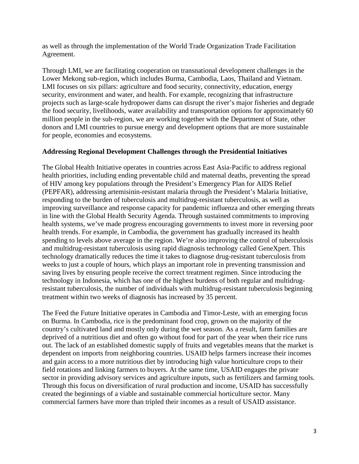as well as through the implementation of the World Trade Organization Trade Facilitation Agreement.

Through LMI, we are facilitating cooperation on transnational development challenges in the Lower Mekong sub-region, which includes Burma, Cambodia, Laos, Thailand and Vietnam. LMI focuses on six pillars: agriculture and food security, connectivity, education, energy security, environment and water, and health. For example, recognizing that infrastructure projects such as large-scale hydropower dams can disrupt the river's major fisheries and degrade the food security, livelihoods, water availability and transportation options for approximately 60 million people in the sub-region, we are working together with the Department of State, other donors and LMI countries to pursue energy and development options that are more sustainable for people, economies and ecosystems.

### **Addressing Regional Development Challenges through the Presidential Initiatives**

The Global Health Initiative operates in countries across East Asia-Pacific to address regional health priorities, including ending preventable child and maternal deaths, preventing the spread of HIV among key populations through the President's Emergency Plan for AIDS Relief (PEPFAR), addressing artemisinin-resistant malaria through the President's Malaria Initiative, responding to the burden of tuberculosis and multidrug-resistant tuberculosis, as well as improving surveillance and response capacity for pandemic influenza and other emerging threats in line with the Global Health Security Agenda. Through sustained commitments to improving health systems, we've made progress encouraging governments to invest more in reversing poor health trends. For example, in Cambodia, the government has gradually increased its health spending to levels above average in the region. We're also improving the control of tuberculosis and multidrug-resistant tuberculosis using rapid diagnosis technology called GeneXpert. This technology dramatically reduces the time it takes to diagnose drug-resistant tuberculosis from weeks to just a couple of hours, which plays an important role in preventing transmission and saving lives by ensuring people receive the correct treatment regimen. Since introducing the technology in Indonesia, which has one of the highest burdens of both regular and multidrugresistant tuberculosis, the number of individuals with multidrug-resistant tuberculosis beginning treatment within two weeks of diagnosis has increased by 35 percent.

The Feed the Future Initiative operates in Cambodia and Timor-Leste, with an emerging focus on Burma. In Cambodia, rice is the predominant food crop, grown on the majority of the country's cultivated land and mostly only during the wet season. As a result, farm families are deprived of a nutritious diet and often go without food for part of the year when their rice runs out. The lack of an established domestic supply of fruits and vegetables means that the market is dependent on imports from neighboring countries. USAID helps farmers increase their incomes and gain access to a more nutritious diet by introducing high value horticulture crops to their field rotations and linking farmers to buyers. At the same time, USAID engages the private sector in providing advisory services and agriculture inputs, such as fertilizers and farming tools. Through this focus on diversification of rural production and income, USAID has successfully created the beginnings of a viable and sustainable commercial horticulture sector. Many commercial farmers have more than tripled their incomes as a result of USAID assistance.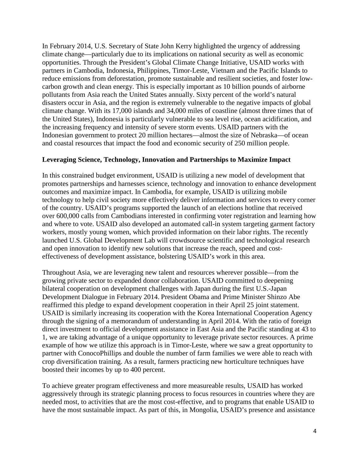In February 2014, U.S. Secretary of State John Kerry highlighted the urgency of addressing climate change—particularly due to its implications on national security as well as economic opportunities. Through the President's Global Climate Change Initiative, USAID works with partners in Cambodia, Indonesia, Philippines, Timor-Leste, Vietnam and the Pacific Islands to reduce emissions from deforestation, promote sustainable and resilient societies, and foster lowcarbon growth and clean energy. This is especially important as 10 billion pounds of airborne pollutants from Asia reach the United States annually. Sixty percent of the world's natural disasters occur in Asia, and the region is extremely vulnerable to the negative impacts of global climate change. With its 17,000 islands and 34,000 miles of coastline (almost three times that of the United States), Indonesia is particularly vulnerable to sea level rise, ocean acidification, and the increasing frequency and intensity of severe storm events. USAID partners with the Indonesian government to protect 20 million hectares—almost the size of Nebraska—of ocean and coastal resources that impact the food and economic security of 250 million people.

### **Leveraging Science, Technology, Innovation and Partnerships to Maximize Impact**

In this constrained budget environment, USAID is utilizing a new model of development that promotes partnerships and harnesses science, technology and innovation to enhance development outcomes and maximize impact. In Cambodia, for example, USAID is utilizing mobile technology to help civil society more effectively deliver information and services to every corner of the country. USAID's programs supported the launch of an elections hotline that received over 600,000 calls from Cambodians interested in confirming voter registration and learning how and where to vote. USAID also developed an automated call-in system targeting garment factory workers, mostly young women, which provided information on their labor rights. The recently launched U.S. Global Development Lab will crowdsource scientific and technological research and open innovation to identify new solutions that increase the reach, speed and costeffectiveness of development assistance, bolstering USAID's work in this area.

Throughout Asia, we are leveraging new talent and resources wherever possible—from the growing private sector to expanded donor collaboration. USAID committed to deepening bilateral cooperation on development challenges with Japan during the first U.S.-Japan Development Dialogue in February 2014. President Obama and Prime Minister Shinzo Abe reaffirmed this pledge to expand development cooperation in their April 25 joint statement. USAID is similarly increasing its cooperation with the Korea International Cooperation Agency through the signing of a memorandum of understanding in April 2014. With the ratio of foreign direct investment to official development assistance in East Asia and the Pacific standing at 43 to 1, we are taking advantage of a unique opportunity to leverage private sector resources. A prime example of how we utilize this approach is in Timor-Leste, where we saw a great opportunity to partner with ConocoPhillips and double the number of farm families we were able to reach with crop diversification training. As a result, farmers practicing new horticulture techniques have boosted their incomes by up to 400 percent.

To achieve greater program effectiveness and more measureable results, USAID has worked aggressively through its strategic planning process to focus resources in countries where they are needed most, to activities that are the most cost-effective, and to programs that enable USAID to have the most sustainable impact. As part of this, in Mongolia, USAID's presence and assistance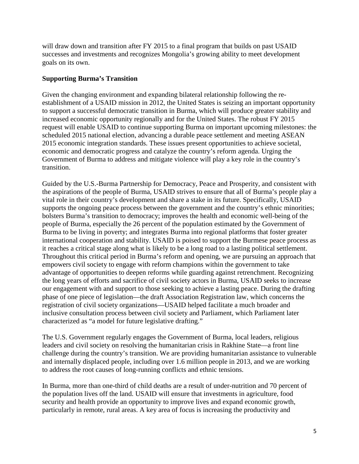will draw down and transition after FY 2015 to a final program that builds on past USAID successes and investments and recognizes Mongolia's growing ability to meet development goals on its own.

### **Supporting Burma's Transition**

Given the changing environment and expanding bilateral relationship following the reestablishment of a USAID mission in 2012, the United States is seizing an important opportunity to support a successful democratic transition in Burma, which will produce greater stability and increased economic opportunity regionally and for the United States. The robust FY 2015 request will enable USAID to continue supporting Burma on important upcoming milestones: the scheduled 2015 national election, advancing a durable peace settlement and meeting ASEAN 2015 economic integration standards. These issues present opportunities to achieve societal, economic and democratic progress and catalyze the country's reform agenda. Urging the Government of Burma to address and mitigate violence will play a key role in the country's transition.

Guided by the U.S.-Burma Partnership for Democracy, Peace and Prosperity, and consistent with the aspirations of the people of Burma, USAID strives to ensure that all of Burma's people play a vital role in their country's development and share a stake in its future. Specifically, USAID supports the ongoing peace process between the government and the country's ethnic minorities; bolsters Burma's transition to democracy; improves the health and economic well-being of the people of Burma, especially the 26 percent of the population estimated by the Government of Burma to be living in poverty; and integrates Burma into regional platforms that foster greater international cooperation and stability. USAID is poised to support the Burmese peace process as it reaches a critical stage along what is likely to be a long road to a lasting political settlement. Throughout this critical period in Burma's reform and opening, we are pursuing an approach that empowers civil society to engage with reform champions within the government to take advantage of opportunities to deepen reforms while guarding against retrenchment. Recognizing the long years of efforts and sacrifice of civil society actors in Burma, USAID seeks to increase our engagement with and support to those seeking to achieve a lasting peace. During the drafting phase of one piece of legislation—the draft Association Registration law, which concerns the registration of civil society organizations—USAID helped facilitate a much broader and inclusive consultation process between civil society and Parliament, which Parliament later characterized as "a model for future legislative drafting."

The U.S. Government regularly engages the Government of Burma, local leaders, religious leaders and civil society on resolving the humanitarian crisis in Rakhine State—a front line challenge during the country's transition. We are providing humanitarian assistance to vulnerable and internally displaced people, including over 1.6 million people in 2013, and we are working to address the root causes of long-running conflicts and ethnic tensions.

In Burma, more than one-third of child deaths are a result of under-nutrition and 70 percent of the population lives off the land. USAID will ensure that investments in agriculture, food security and health provide an opportunity to improve lives and expand economic growth, particularly in remote, rural areas. A key area of focus is increasing the productivity and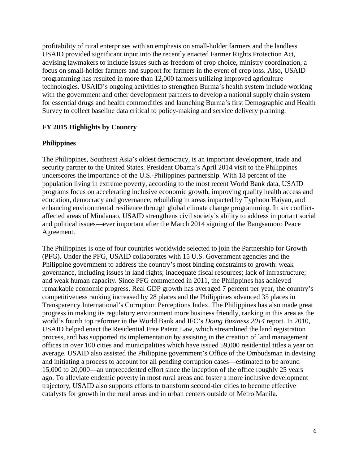profitability of rural enterprises with an emphasis on small-holder farmers and the landless. USAID provided significant input into the recently enacted Farmer Rights Protection Act, advising lawmakers to include issues such as freedom of crop choice, ministry coordination, a focus on small-holder farmers and support for farmers in the event of crop loss. Also, USAID programming has resulted in more than 12,000 farmers utilizing improved agriculture technologies. USAID's ongoing activities to strengthen Burma's health system include working with the government and other development partners to develop a national supply chain system for essential drugs and health commodities and launching Burma's first Demographic and Health Survey to collect baseline data critical to policy-making and service delivery planning.

## **FY 2015 Highlights by Country**

### **Philippines**

The Philippines, Southeast Asia's oldest democracy, is an important development, trade and security partner to the United States. President Obama's April 2014 visit to the Philippines underscores the importance of the U.S.-Philippines partnership. With 18 percent of the population living in extreme poverty, according to the most recent World Bank data, USAID programs focus on accelerating inclusive economic growth, improving quality health access and education, democracy and governance, rebuilding in areas impacted by Typhoon Haiyan, and enhancing environmental resilience through global climate change programming. In six conflictaffected areas of Mindanao, USAID strengthens civil society's ability to address important social and political issues—ever important after the March 2014 signing of the Bangsamoro Peace Agreement.

The Philippines is one of four countries worldwide selected to join the Partnership for Growth (PFG). Under the PFG, USAID collaborates with 15 U.S. Government agencies and the Philippine government to address the country's most binding constraints to growth: weak governance, including issues in land rights; inadequate fiscal resources; lack of infrastructure; and weak human capacity. Since PFG commenced in 2011, the Philippines has achieved remarkable economic progress. Real GDP growth has averaged 7 percent per year, the country's competitiveness ranking increased by 28 places and the Philippines advanced 35 places in Transparency International's Corruption Perceptions Index. The Philippines has also made great progress in making its regulatory environment more business friendly, ranking in this area as the world's fourth top reformer in the World Bank and IFC's *Doing Business 2014* report. In 2010, USAID helped enact the Residential Free Patent Law, which streamlined the land registration process, and has supported its implementation by assisting in the creation of land management offices in over 100 cities and municipalities which have issued 59,000 residential titles a year on average. USAID also assisted the Philippine government's Office of the Ombudsman in devising and initiating a process to account for all pending corruption cases—estimated to be around 15,000 to 20,000—an unprecedented effort since the inception of the office roughly 25 years ago. To alleviate endemic poverty in most rural areas and foster a more inclusive development trajectory, USAID also supports efforts to transform second-tier cities to become effective catalysts for growth in the rural areas and in urban centers outside of Metro Manila.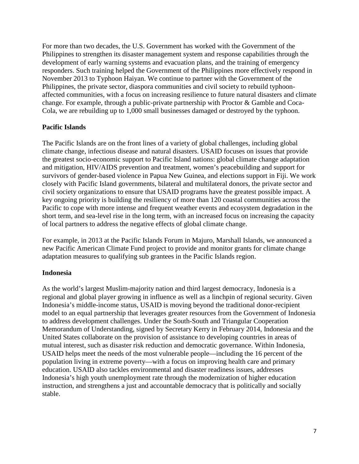For more than two decades, the U.S. Government has worked with the Government of the Philippines to strengthen its disaster management system and response capabilities through the development of early warning systems and evacuation plans, and the training of emergency responders. Such training helped the Government of the Philippines more effectively respond in November 2013 to Typhoon Haiyan. We continue to partner with the Government of the Philippines, the private sector, diaspora communities and civil society to rebuild typhoonaffected communities, with a focus on increasing resilience to future natural disasters and climate change. For example, through a public-private partnership with Proctor & Gamble and Coca-Cola, we are rebuilding up to 1,000 small businesses damaged or destroyed by the typhoon.

## **Pacific Islands**

The Pacific Islands are on the front lines of a variety of global challenges, including global climate change, infectious disease and natural disasters. USAID focuses on issues that provide the greatest socio-economic support to Pacific Island nations: global climate change adaptation and mitigation, HIV/AIDS prevention and treatment, women's peacebuilding and support for survivors of gender-based violence in Papua New Guinea, and elections support in Fiji. We work closely with Pacific Island governments, bilateral and multilateral donors, the private sector and civil society organizations to ensure that USAID programs have the greatest possible impact. A key ongoing priority is building the resiliency of more than 120 coastal communities across the Pacific to cope with more intense and frequent weather events and ecosystem degradation in the short term, and sea-level rise in the long term, with an increased focus on increasing the capacity of local partners to address the negative effects of global climate change.

For example, in 2013 at the Pacific Islands Forum in Majuro, Marshall Islands, we announced a new Pacific American Climate Fund project to provide and monitor grants for climate change adaptation measures to qualifying sub grantees in the Pacific Islands region.

## **Indonesia**

As the world's largest Muslim-majority nation and third largest democracy, Indonesia is a regional and global player growing in influence as well as a linchpin of regional security. Given Indonesia's middle-income status, USAID is moving beyond the traditional donor-recipient model to an equal partnership that leverages greater resources from the Government of Indonesia to address development challenges. Under the South-South and Triangular Cooperation Memorandum of Understanding, signed by Secretary Kerry in February 2014, Indonesia and the United States collaborate on the provision of assistance to developing countries in areas of mutual interest, such as disaster risk reduction and democratic governance. Within Indonesia, USAID helps meet the needs of the most vulnerable people—including the 16 percent of the population living in extreme poverty—with a focus on improving health care and primary education. USAID also tackles environmental and disaster readiness issues, addresses Indonesia's high youth unemployment rate through the modernization of higher education instruction, and strengthens a just and accountable democracy that is politically and socially stable.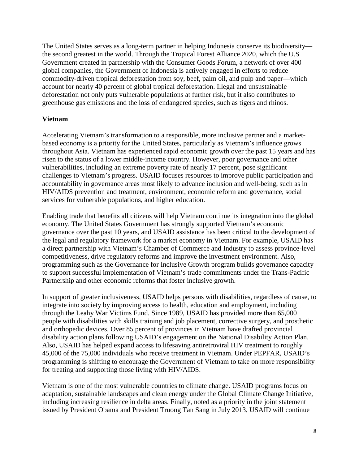The United States serves as a long-term partner in helping Indonesia conserve its biodiversity the second greatest in the world. Through the Tropical Forest Alliance 2020, which the U.S Government created in partnership with the Consumer Goods Forum, a network of over 400 global companies, the Government of Indonesia is actively engaged in efforts to reduce commodity-driven tropical deforestation from soy, beef, palm oil, and pulp and paper—which account for nearly 40 percent of global tropical deforestation. Illegal and unsustainable deforestation not only puts vulnerable populations at further risk, but it also contributes to greenhouse gas emissions and the loss of endangered species, such as tigers and rhinos.

### **Vietnam**

Accelerating Vietnam's transformation to a responsible, more inclusive partner and a marketbased economy is a priority for the United States, particularly as Vietnam's influence grows throughout Asia. Vietnam has experienced rapid economic growth over the past 15 years and has risen to the status of a lower middle-income country. However, poor governance and other vulnerabilities, including an extreme poverty rate of nearly 17 percent, pose significant challenges to Vietnam's progress. USAID focuses resources to improve public participation and accountability in governance areas most likely to advance inclusion and well-being, such as in HIV/AIDS prevention and treatment, environment, economic reform and governance, social services for vulnerable populations, and higher education.

Enabling trade that benefits all citizens will help Vietnam continue its integration into the global economy. The United States Government has strongly supported Vietnam's economic governance over the past 10 years, and USAID assistance has been critical to the development of the legal and regulatory framework for a market economy in Vietnam. For example, USAID has a direct partnership with Vietnam's Chamber of Commerce and Industry to assess province-level competitiveness, drive regulatory reforms and improve the investment environment. Also, programming such as the Governance for Inclusive Growth program builds governance capacity to support successful implementation of Vietnam's trade commitments under the Trans-Pacific Partnership and other economic reforms that foster inclusive growth.

In support of greater inclusiveness, USAID helps persons with disabilities, regardless of cause, to integrate into society by improving access to health, education and employment, including through the Leahy War Victims Fund. Since 1989, USAID has provided more than 65,000 people with disabilities with skills training and job placement, corrective surgery, and prosthetic and orthopedic devices. Over 85 percent of provinces in Vietnam have drafted provincial disability action plans following USAID's engagement on the National Disability Action Plan. Also, USAID has helped expand access to lifesaving antiretroviral HIV treatment to roughly 45,000 of the 75,000 individuals who receive treatment in Vietnam. Under PEPFAR, USAID's programming is shifting to encourage the Government of Vietnam to take on more responsibility for treating and supporting those living with HIV/AIDS.

Vietnam is one of the most vulnerable countries to climate change. USAID programs focus on adaptation, sustainable landscapes and clean energy under the Global Climate Change Initiative, including increasing resilience in delta areas. Finally, noted as a priority in the joint statement issued by President Obama and President Truong Tan Sang in July 2013, USAID will continue